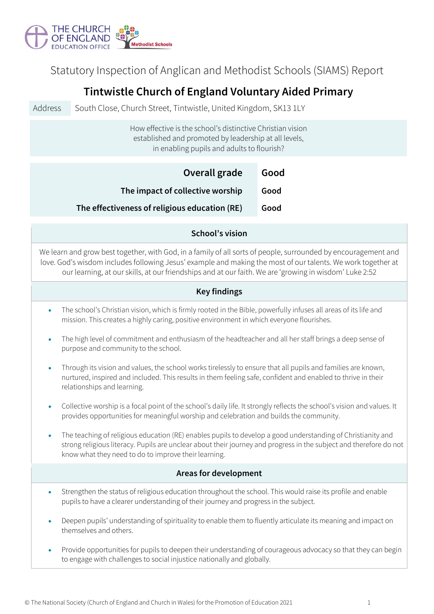

Statutory Inspection of Anglican and Methodist Schools (SIAMS) Report

# **Tintwistle Church of England Voluntary Aided Primary**

Address South Close, Church Street, Tintwistle, United Kingdom, SK13 1LY

How effective is the school's distinctive Christian vision established and promoted by leadership at all levels, in enabling pupils and adults to flourish?

| Overall grade                                 | Good |
|-----------------------------------------------|------|
| The impact of collective worship              | Good |
| The effectiveness of religious education (RE) | Good |

#### **School's vision**

We learn and grow best together, with God, in a family of all sorts of people, surrounded by encouragement and love. God's wisdom includes following Jesus' example and making the most of our talents. We work together at our learning, at our skills, at our friendships and at our faith. We are 'growing in wisdom' Luke 2:52

#### **Key findings**

- The school's Christian vision, which is firmly rooted in the Bible, powerfully infuses all areas of its life and mission. This creates a highly caring, positive environment in which everyone flourishes.
- The high level of commitment and enthusiasm of the headteacher and all her staff brings a deep sense of purpose and community to the school.
- Through its vision and values, the school works tirelessly to ensure that all pupils and families are known, nurtured, inspired and included. This results in them feeling safe, confident and enabled to thrive in their relationships and learning.
- Collective worship is a focal point of the school's daily life. It strongly reflects the school's vision and values. It provides opportunities for meaningful worship and celebration and builds the community.
- The teaching of religious education (RE) enables pupils to develop a good understanding of Christianity and strong religious literacy. Pupils are unclear about their journey and progress in the subject and therefore do not know what they need to do to improve their learning.

## **Areas for development**

- Strengthen the status of religious education throughout the school. This would raise its profile and enable pupils to have a clearer understanding of their journey and progress in the subject.
- Deepen pupils' understanding of spirituality to enable them to fluently articulate its meaning and impact on themselves and others.
- Provide opportunities for pupils to deepen their understanding of courageous advocacy so that they can begin to engage with challenges to social injustice nationally and globally.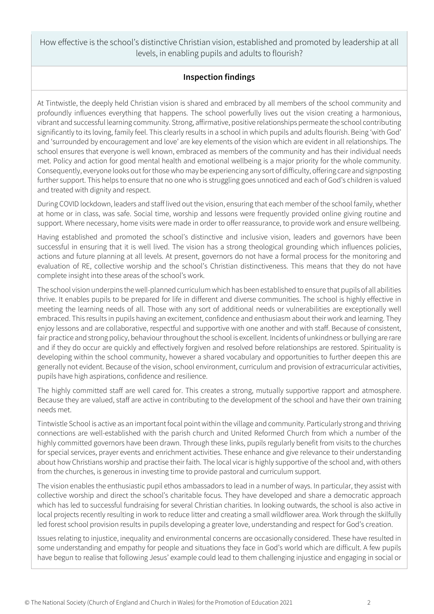How effective is the school's distinctive Christian vision, established and promoted by leadership at all levels, in enabling pupils and adults to flourish?

### **Inspection findings**

At Tintwistle, the deeply held Christian vision is shared and embraced by all members of the school community and profoundly influences everything that happens. The school powerfully lives out the vision creating a harmonious, vibrant and successful learning community. Strong, affirmative, positive relationships permeate the school contributing significantly to its loving, family feel. This clearly results in a school in which pupils and adults flourish. Being 'with God' and 'surrounded by encouragement and love' are key elements of the vision which are evident in all relationships. The school ensures that everyone is well known, embraced as members of the community and has their individual needs met. Policy and action for good mental health and emotional wellbeing is a major priority for the whole community. Consequently, everyone looks out for those who may be experiencing any sort of difficulty, offering care and signposting further support. This helps to ensure that no one who is struggling goes unnoticed and each of God's children is valued and treated with dignity and respect.

During COVID lockdown, leaders and staff lived out the vision, ensuring that each member of the school family, whether at home or in class, was safe. Social time, worship and lessons were frequently provided online giving routine and support. Where necessary, home visits were made in order to offer reassurance, to provide work and ensure wellbeing.

Having established and promoted the school's distinctive and inclusive vision, leaders and governors have been successful in ensuring that it is well lived. The vision has a strong theological grounding which influences policies, actions and future planning at all levels. At present, governors do not have a formal process for the monitoring and evaluation of RE, collective worship and the school's Christian distinctiveness. This means that they do not have complete insight into these areas of the school's work.

The school vision underpins the well-planned curriculum which has been established to ensure that pupils of all abilities thrive. It enables pupils to be prepared for life in different and diverse communities. The school is highly effective in meeting the learning needs of all. Those with any sort of additional needs or vulnerabilities are exceptionally well embraced. This results in pupils having an excitement, confidence and enthusiasm about their work and learning. They enjoy lessons and are collaborative, respectful and supportive with one another and with staff. Because of consistent, fair practice and strong policy, behaviour throughout the school is excellent. Incidents of unkindness or bullying are rare and if they do occur are quickly and effectively forgiven and resolved before relationships are restored. Spirituality is developing within the school community, however a shared vocabulary and opportunities to further deepen this are generally not evident. Because of the vision, school environment, curriculum and provision of extracurricular activities, pupils have high aspirations, confidence and resilience.

The highly committed staff are well cared for. This creates a strong, mutually supportive rapport and atmosphere. Because they are valued, staff are active in contributing to the development of the school and have their own training needs met.

Tintwistle School is active as an important focal point within the village and community. Particularly strong and thriving connections are well-established with the parish church and United Reformed Church from which a number of the highly committed governors have been drawn. Through these links, pupils regularly benefit from visits to the churches for special services, prayer events and enrichment activities. These enhance and give relevance to their understanding about how Christians worship and practise their faith. The local vicar is highly supportive of the school and, with others from the churches, is generous in investing time to provide pastoral and curriculum support.

The vision enables the enthusiastic pupil ethos ambassadors to lead in a number of ways. In particular, they assist with collective worship and direct the school's charitable focus. They have developed and share a democratic approach which has led to successful fundraising for several Christian charities. In looking outwards, the school is also active in local projects recently resulting in work to reduce litter and creating a small wildflower area. Work through the skilfully led forest school provision results in pupils developing a greater love, understanding and respect for God's creation.

Issues relating to injustice, inequality and environmental concerns are occasionally considered. These have resulted in some understanding and empathy for people and situations they face in God's world which are difficult. A few pupils have begun to realise that following Jesus' example could lead to them challenging injustice and engaging in social or